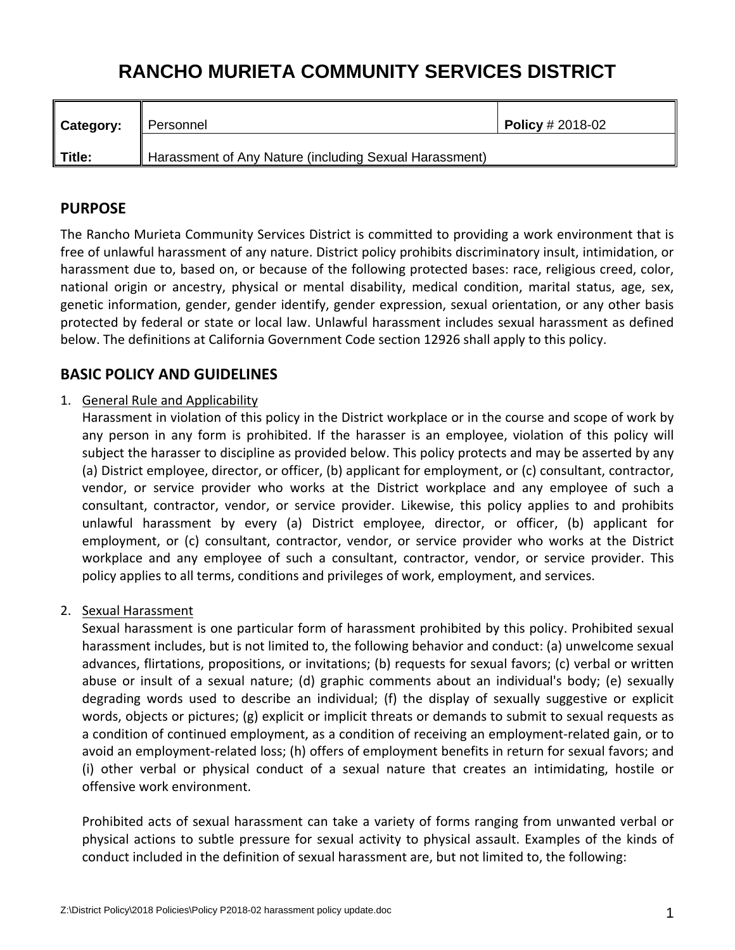# **RANCHO MURIETA COMMUNITY SERVICES DISTRICT**

| <b>Category:</b> | ∥ Personnel                                            | <b>Policy</b> # 2018-02 |
|------------------|--------------------------------------------------------|-------------------------|
| Title:           | Harassment of Any Nature (including Sexual Harassment) |                         |

# **PURPOSE**

The Rancho Murieta Community Services District is committed to providing a work environment that is free of unlawful harassment of any nature. District policy prohibits discriminatory insult, intimidation, or harassment due to, based on, or because of the following protected bases: race, religious creed, color, national origin or ancestry, physical or mental disability, medical condition, marital status, age, sex, genetic information, gender, gender identify, gender expression, sexual orientation, or any other basis protected by federal or state or local law. Unlawful harassment includes sexual harassment as defined below. The definitions at California Government Code section 12926 shall apply to this policy.

# **BASIC POLICY AND GUIDELINES**

# 1. General Rule and Applicability

Harassment in violation of this policy in the District workplace or in the course and scope of work by any person in any form is prohibited. If the harasser is an employee, violation of this policy will subject the harasser to discipline as provided below. This policy protects and may be asserted by any (a) District employee, director, or officer, (b) applicant for employment, or (c) consultant, contractor, vendor, or service provider who works at the District workplace and any employee of such a consultant, contractor, vendor, or service provider. Likewise, this policy applies to and prohibits unlawful harassment by every (a) District employee, director, or officer, (b) applicant for employment, or (c) consultant, contractor, vendor, or service provider who works at the District workplace and any employee of such a consultant, contractor, vendor, or service provider. This policy applies to all terms, conditions and privileges of work, employment, and services.

# 2. Sexual Harassment

Sexual harassment is one particular form of harassment prohibited by this policy. Prohibited sexual harassment includes, but is not limited to, the following behavior and conduct: (a) unwelcome sexual advances, flirtations, propositions, or invitations; (b) requests for sexual favors; (c) verbal or written abuse or insult of a sexual nature; (d) graphic comments about an individual's body; (e) sexually degrading words used to describe an individual; (f) the display of sexually suggestive or explicit words, objects or pictures; (g) explicit or implicit threats or demands to submit to sexual requests as a condition of continued employment, as a condition of receiving an employment‐related gain, or to avoid an employment-related loss; (h) offers of employment benefits in return for sexual favors; and (i) other verbal or physical conduct of a sexual nature that creates an intimidating, hostile or offensive work environment.

Prohibited acts of sexual harassment can take a variety of forms ranging from unwanted verbal or physical actions to subtle pressure for sexual activity to physical assault. Examples of the kinds of conduct included in the definition of sexual harassment are, but not limited to, the following: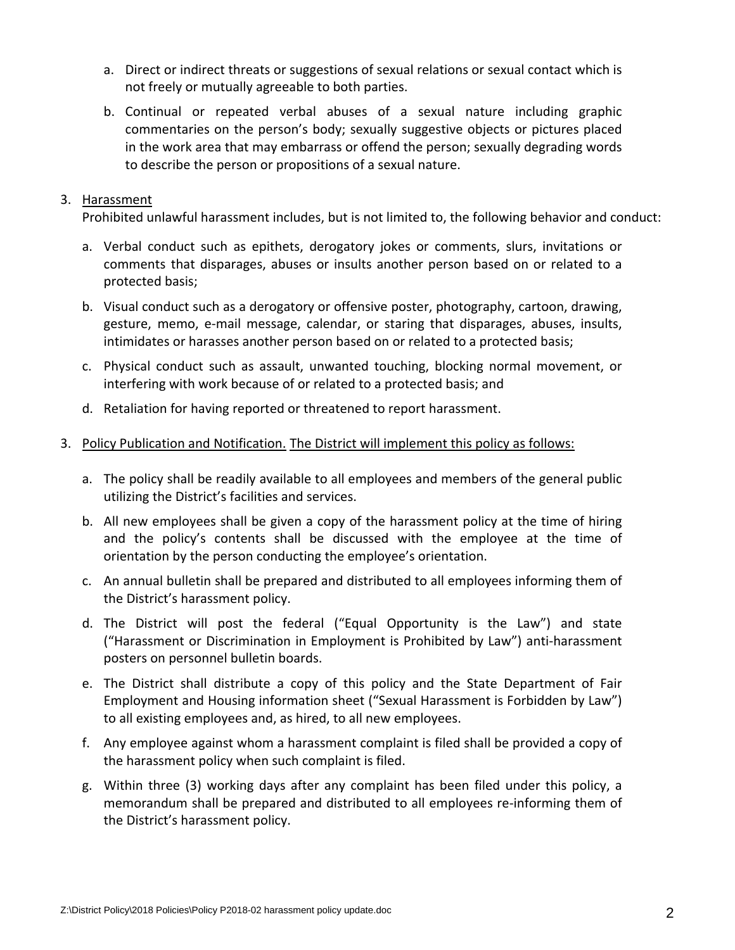- a. Direct or indirect threats or suggestions of sexual relations or sexual contact which is not freely or mutually agreeable to both parties.
- b. Continual or repeated verbal abuses of a sexual nature including graphic commentaries on the person's body; sexually suggestive objects or pictures placed in the work area that may embarrass or offend the person; sexually degrading words to describe the person or propositions of a sexual nature.

#### 3. Harassment

Prohibited unlawful harassment includes, but is not limited to, the following behavior and conduct:

- a. Verbal conduct such as epithets, derogatory jokes or comments, slurs, invitations or comments that disparages, abuses or insults another person based on or related to a protected basis;
- b. Visual conduct such as a derogatory or offensive poster, photography, cartoon, drawing, gesture, memo, e‐mail message, calendar, or staring that disparages, abuses, insults, intimidates or harasses another person based on or related to a protected basis;
- c. Physical conduct such as assault, unwanted touching, blocking normal movement, or interfering with work because of or related to a protected basis; and
- d. Retaliation for having reported or threatened to report harassment.

#### 3. Policy Publication and Notification. The District will implement this policy as follows:

- a. The policy shall be readily available to all employees and members of the general public utilizing the District's facilities and services.
- b. All new employees shall be given a copy of the harassment policy at the time of hiring and the policy's contents shall be discussed with the employee at the time of orientation by the person conducting the employee's orientation.
- c. An annual bulletin shall be prepared and distributed to all employees informing them of the District's harassment policy.
- d. The District will post the federal ("Equal Opportunity is the Law") and state ("Harassment or Discrimination in Employment is Prohibited by Law") anti‐harassment posters on personnel bulletin boards.
- e. The District shall distribute a copy of this policy and the State Department of Fair Employment and Housing information sheet ("Sexual Harassment is Forbidden by Law") to all existing employees and, as hired, to all new employees.
- f. Any employee against whom a harassment complaint is filed shall be provided a copy of the harassment policy when such complaint is filed.
- g. Within three (3) working days after any complaint has been filed under this policy, a memorandum shall be prepared and distributed to all employees re‐informing them of the District's harassment policy.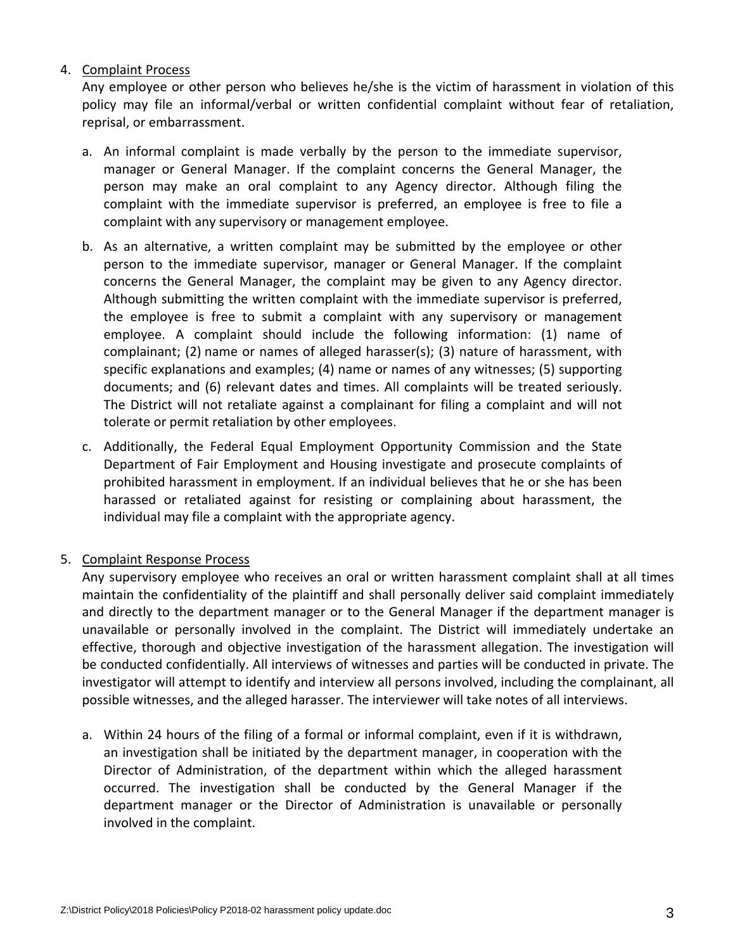#### 4. Complaint Process

Any employee or other person who believes he/she is the victim of harassment in violation of this policy may file an informal/verbal or written confidential complaint without fear of retaliation, reprisal, or embarrassment.

- a. An informal complaint is made verbally by the person to the immediate supervisor, manager or General Manager. If the complaint concerns the General Manager, the person may make an oral complaint to any Agency director. Although filing the complaint with the immediate supervisor is preferred, an employee is free to file a complaint with any supervisory or management employee.
- b. As an alternative, a written complaint may be submitted by the employee or other person to the immediate supervisor, manager or General Manager. If the complaint concerns the General Manager, the complaint may be given to any Agency director. Although submitting the written complaint with the immediate supervisor is preferred, the employee is free to submit a complaint with any supervisory or management employee. A complaint should include the following information: (1) name of complainant; (2) name or names of alleged harasser(s); (3) nature of harassment, with specific explanations and examples; (4) name or names of any witnesses; (5) supporting documents; and (6) relevant dates and times. All complaints will be treated seriously. The District will not retaliate against a complainant for filing a complaint and will not tolerate or permit retaliation by other employees.
- c. Additionally, the Federal Equal Employment Opportunity Commission and the State Department of Fair Employment and Housing investigate and prosecute complaints of prohibited harassment in employment. If an individual believes that he or she has been harassed or retaliated against for resisting or complaining about harassment, the individual may file a complaint with the appropriate agency.

# 5. Complaint Response Process

Any supervisory employee who receives an oral or written harassment complaint shall at all times maintain the confidentiality of the plaintiff and shall personally deliver said complaint immediately and directly to the department manager or to the General Manager if the department manager is unavailable or personally involved in the complaint. The District will immediately undertake an effective, thorough and objective investigation of the harassment allegation. The investigation will be conducted confidentially. All interviews of witnesses and parties will be conducted in private. The investigator will attempt to identify and interview all persons involved, including the complainant, all possible witnesses, and the alleged harasser. The interviewer will take notes of all interviews.

a. Within 24 hours of the filing of a formal or informal complaint, even if it is withdrawn, an investigation shall be initiated by the department manager, in cooperation with the Director of Administration, of the department within which the alleged harassment occurred. The investigation shall be conducted by the General Manager if the department manager or the Director of Administration is unavailable or personally involved in the complaint.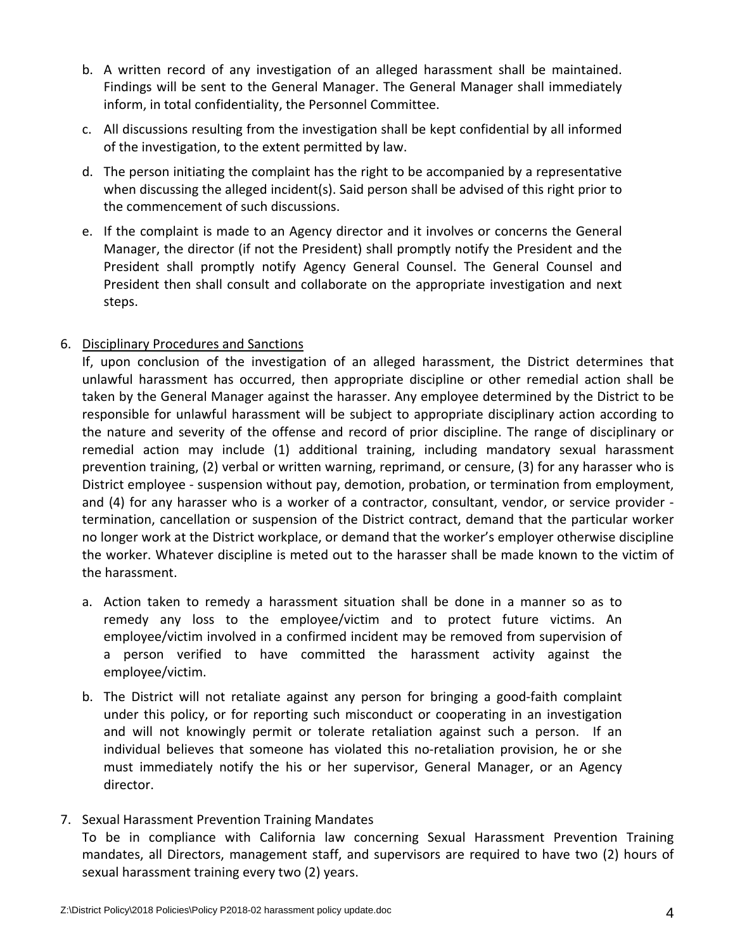- b. A written record of any investigation of an alleged harassment shall be maintained. Findings will be sent to the General Manager. The General Manager shall immediately inform, in total confidentiality, the Personnel Committee.
- c. All discussions resulting from the investigation shall be kept confidential by all informed of the investigation, to the extent permitted by law.
- d. The person initiating the complaint has the right to be accompanied by a representative when discussing the alleged incident(s). Said person shall be advised of this right prior to the commencement of such discussions.
- e. If the complaint is made to an Agency director and it involves or concerns the General Manager, the director (if not the President) shall promptly notify the President and the President shall promptly notify Agency General Counsel. The General Counsel and President then shall consult and collaborate on the appropriate investigation and next steps.

# 6. Disciplinary Procedures and Sanctions

If, upon conclusion of the investigation of an alleged harassment, the District determines that unlawful harassment has occurred, then appropriate discipline or other remedial action shall be taken by the General Manager against the harasser. Any employee determined by the District to be responsible for unlawful harassment will be subject to appropriate disciplinary action according to the nature and severity of the offense and record of prior discipline. The range of disciplinary or remedial action may include (1) additional training, including mandatory sexual harassment prevention training, (2) verbal or written warning, reprimand, or censure, (3) for any harasser who is District employee ‐ suspension without pay, demotion, probation, or termination from employment, and (4) for any harasser who is a worker of a contractor, consultant, vendor, or service provider termination, cancellation or suspension of the District contract, demand that the particular worker no longer work at the District workplace, or demand that the worker's employer otherwise discipline the worker. Whatever discipline is meted out to the harasser shall be made known to the victim of the harassment.

- a. Action taken to remedy a harassment situation shall be done in a manner so as to remedy any loss to the employee/victim and to protect future victims. An employee/victim involved in a confirmed incident may be removed from supervision of a person verified to have committed the harassment activity against the employee/victim.
- b. The District will not retaliate against any person for bringing a good‐faith complaint under this policy, or for reporting such misconduct or cooperating in an investigation and will not knowingly permit or tolerate retaliation against such a person. If an individual believes that someone has violated this no-retaliation provision, he or she must immediately notify the his or her supervisor, General Manager, or an Agency director.

# 7. Sexual Harassment Prevention Training Mandates

To be in compliance with California law concerning Sexual Harassment Prevention Training mandates, all Directors, management staff, and supervisors are required to have two (2) hours of sexual harassment training every two (2) years.